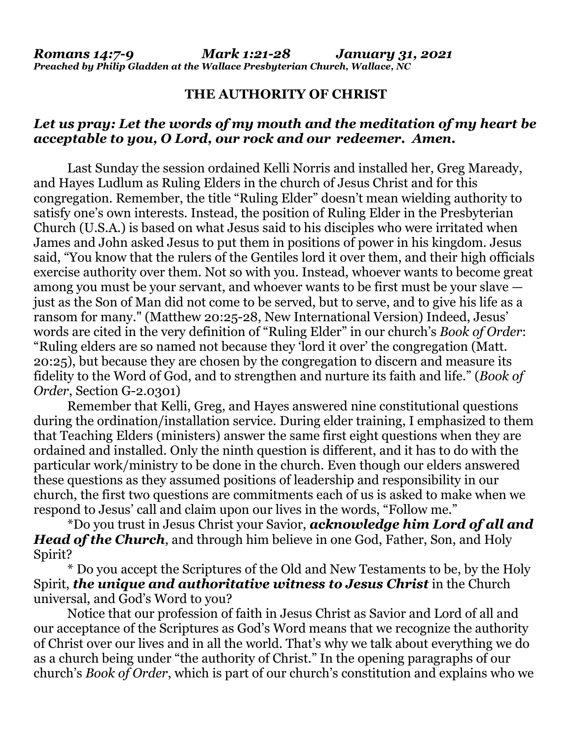## **THE AUTHORITY OF CHRIST**

## *Let us pray: Let the words of my mouth and the meditation of my heart be acceptable to you, O Lord, our rock and our redeemer. Amen.*

Last Sunday the session ordained Kelli Norris and installed her, Greg Maready, and Hayes Ludlum as Ruling Elders in the church of Jesus Christ and for this congregation. Remember, the title "Ruling Elder" doesn't mean wielding authority to satisfy one's own interests. Instead, the position of Ruling Elder in the Presbyterian Church (U.S.A.) is based on what Jesus said to his disciples who were irritated when James and John asked Jesus to put them in positions of power in his kingdom. Jesus said, "You know that the rulers of the Gentiles lord it over them, and their high officials exercise authority over them. Not so with you. Instead, whoever wants to become great among you must be your servant, and whoever wants to be first must be your slave just as the Son of Man did not come to be served, but to serve, and to give his life as a ransom for many." (Matthew 20:25-28, New International Version) Indeed, Jesus' words are cited in the very definition of "Ruling Elder" in our church's *Book of Order*: "Ruling elders are so named not because they 'lord it over' the congregation (Matt. 20:25), but because they are chosen by the congregation to discern and measure its fidelity to the Word of God, and to strengthen and nurture its faith and life." (*Book of Order*, Section G-2.0301)

Remember that Kelli, Greg, and Hayes answered nine constitutional questions during the ordination/installation service. During elder training, I emphasized to them that Teaching Elders (ministers) answer the same first eight questions when they are ordained and installed. Only the ninth question is different, and it has to do with the particular work/ministry to be done in the church. Even though our elders answered these questions as they assumed positions of leadership and responsibility in our church, the first two questions are commitments each of us is asked to make when we respond to Jesus' call and claim upon our lives in the words, "Follow me."

\*Do you trust in Jesus Christ your Savior, *acknowledge him Lord of all and Head of the Church*, and through him believe in one God, Father, Son, and Holy Spirit?

\* Do you accept the Scriptures of the Old and New Testaments to be, by the Holy Spirit, *the unique and authoritative witness to Jesus Christ* in the Church universal, and God's Word to you?

Notice that our profession of faith in Jesus Christ as Savior and Lord of all and our acceptance of the Scriptures as God's Word means that we recognize the authority of Christ over our lives and in all the world. That's why we talk about everything we do as a church being under "the authority of Christ." In the opening paragraphs of our church's *Book of Order*, which is part of our church's constitution and explains who we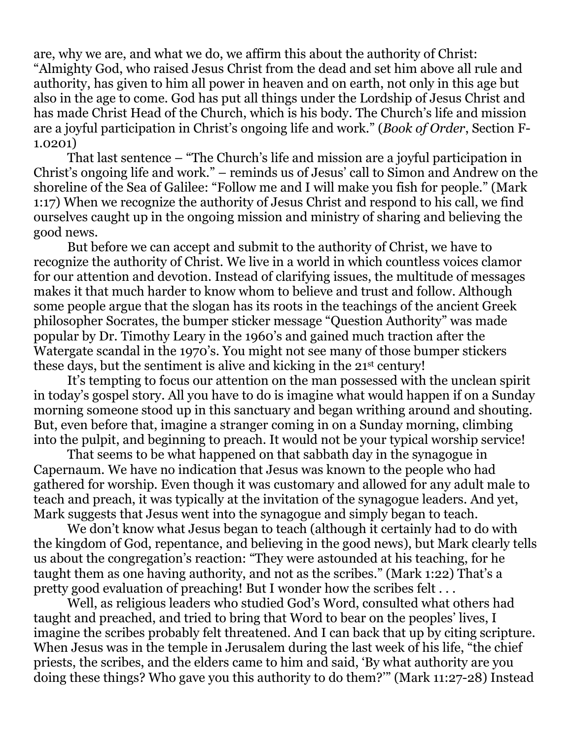are, why we are, and what we do, we affirm this about the authority of Christ: "Almighty God, who raised Jesus Christ from the dead and set him above all rule and authority, has given to him all power in heaven and on earth, not only in this age but also in the age to come. God has put all things under the Lordship of Jesus Christ and has made Christ Head of the Church, which is his body. The Church's life and mission are a joyful participation in Christ's ongoing life and work." (*Book of Order*, Section F-1.0201)

That last sentence – "The Church's life and mission are a joyful participation in Christ's ongoing life and work." – reminds us of Jesus' call to Simon and Andrew on the shoreline of the Sea of Galilee: "Follow me and I will make you fish for people." (Mark 1:17) When we recognize the authority of Jesus Christ and respond to his call, we find ourselves caught up in the ongoing mission and ministry of sharing and believing the good news.

But before we can accept and submit to the authority of Christ, we have to recognize the authority of Christ. We live in a world in which countless voices clamor for our attention and devotion. Instead of clarifying issues, the multitude of messages makes it that much harder to know whom to believe and trust and follow. Although some people argue that the slogan has its roots in the teachings of the ancient Greek philosopher Socrates, the bumper sticker message "Question Authority" was made popular by Dr. Timothy Leary in the 1960's and gained much traction after the Watergate scandal in the 1970's. You might not see many of those bumper stickers these days, but the sentiment is alive and kicking in the 21st century!

It's tempting to focus our attention on the man possessed with the unclean spirit in today's gospel story. All you have to do is imagine what would happen if on a Sunday morning someone stood up in this sanctuary and began writhing around and shouting. But, even before that, imagine a stranger coming in on a Sunday morning, climbing into the pulpit, and beginning to preach. It would not be your typical worship service!

That seems to be what happened on that sabbath day in the synagogue in Capernaum. We have no indication that Jesus was known to the people who had gathered for worship. Even though it was customary and allowed for any adult male to teach and preach, it was typically at the invitation of the synagogue leaders. And yet, Mark suggests that Jesus went into the synagogue and simply began to teach.

We don't know what Jesus began to teach (although it certainly had to do with the kingdom of God, repentance, and believing in the good news), but Mark clearly tells us about the congregation's reaction: "They were astounded at his teaching, for he taught them as one having authority, and not as the scribes." (Mark 1:22) That's a pretty good evaluation of preaching! But I wonder how the scribes felt . . .

Well, as religious leaders who studied God's Word, consulted what others had taught and preached, and tried to bring that Word to bear on the peoples' lives, I imagine the scribes probably felt threatened. And I can back that up by citing scripture. When Jesus was in the temple in Jerusalem during the last week of his life, "the chief priests, the scribes, and the elders came to him and said, 'By what authority are you doing these things? Who gave you this authority to do them?'" (Mark 11:27-28) Instead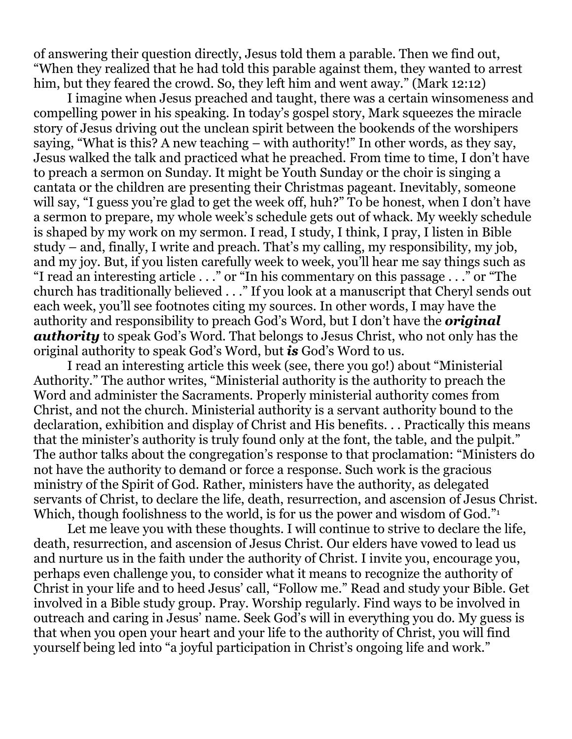of answering their question directly, Jesus told them a parable. Then we find out, "When they realized that he had told this parable against them, they wanted to arrest him, but they feared the crowd. So, they left him and went away." (Mark 12:12)

I imagine when Jesus preached and taught, there was a certain winsomeness and compelling power in his speaking. In today's gospel story, Mark squeezes the miracle story of Jesus driving out the unclean spirit between the bookends of the worshipers saying, "What is this? A new teaching – with authority!" In other words, as they say, Jesus walked the talk and practiced what he preached. From time to time, I don't have to preach a sermon on Sunday. It might be Youth Sunday or the choir is singing a cantata or the children are presenting their Christmas pageant. Inevitably, someone will say, "I guess you're glad to get the week off, huh?" To be honest, when I don't have a sermon to prepare, my whole week's schedule gets out of whack. My weekly schedule is shaped by my work on my sermon. I read, I study, I think, I pray, I listen in Bible study – and, finally, I write and preach. That's my calling, my responsibility, my job, and my joy. But, if you listen carefully week to week, you'll hear me say things such as "I read an interesting article . . ." or "In his commentary on this passage . . ." or "The church has traditionally believed . . ." If you look at a manuscript that Cheryl sends out each week, you'll see footnotes citing my sources. In other words, I may have the authority and responsibility to preach God's Word, but I don't have the *original authority* to speak God's Word. That belongs to Jesus Christ, who not only has the original authority to speak God's Word, but *is* God's Word to us.

I read an interesting article this week (see, there you go!) about "Ministerial Authority." The author writes, "Ministerial authority is the authority to preach the Word and administer the Sacraments. Properly ministerial authority comes from Christ, and not the church. Ministerial authority is a servant authority bound to the declaration, exhibition and display of Christ and His benefits. . . Practically this means that the minister's authority is truly found only at the font, the table, and the pulpit." The author talks about the congregation's response to that proclamation: "Ministers do not have the authority to demand or force a response. Such work is the gracious ministry of the Spirit of God. Rather, ministers have the authority, as delegated servants of Christ, to declare the life, death, resurrection, and ascension of Jesus Christ. Which, though foolishness to the world, is for us the power and wisdom of God."<sup>1</sup>

Let me leave you with these thoughts. I will continue to strive to declare the life, death, resurrection, and ascension of Jesus Christ. Our elders have vowed to lead us and nurture us in the faith under the authority of Christ. I invite you, encourage you, perhaps even challenge you, to consider what it means to recognize the authority of Christ in your life and to heed Jesus' call, "Follow me." Read and study your Bible. Get involved in a Bible study group. Pray. Worship regularly. Find ways to be involved in outreach and caring in Jesus' name. Seek God's will in everything you do. My guess is that when you open your heart and your life to the authority of Christ, you will find yourself being led into "a joyful participation in Christ's ongoing life and work."